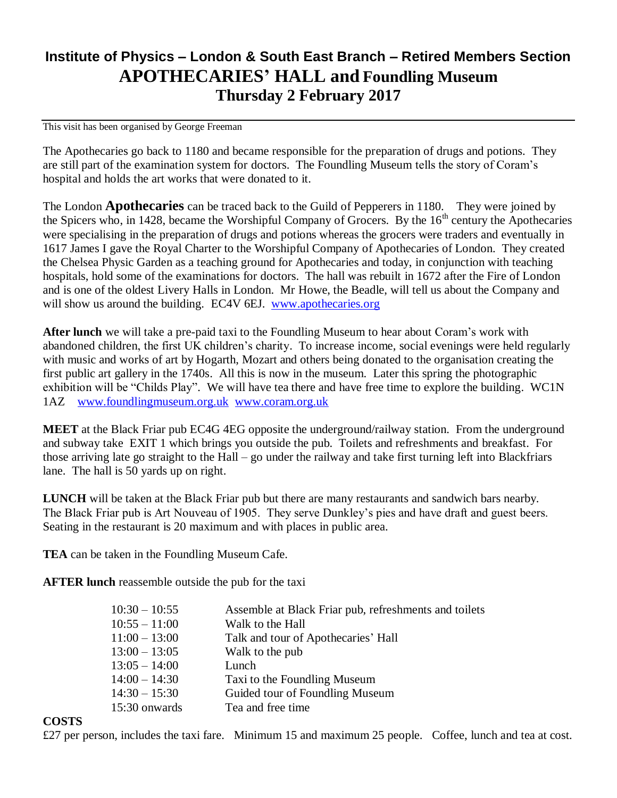## **Institute of Physics – London & South East Branch – Retired Members Section APOTHECARIES' HALL and Foundling Museum Thursday 2 February 2017**

This visit has been organised by George Freeman

The Apothecaries go back to 1180 and became responsible for the preparation of drugs and potions. They are still part of the examination system for doctors. The Foundling Museum tells the story of Coram's hospital and holds the art works that were donated to it.

The London **Apothecaries** can be traced back to the Guild of Pepperers in 1180. They were joined by the Spicers who, in 1428, became the Worshipful Company of Grocers. By the  $16<sup>th</sup>$  century the Apothecaries were specialising in the preparation of drugs and potions whereas the grocers were traders and eventually in 1617 James I gave the Royal Charter to the Worshipful Company of Apothecaries of London. They created the Chelsea Physic Garden as a teaching ground for Apothecaries and today, in conjunction with teaching hospitals, hold some of the examinations for doctors. The hall was rebuilt in 1672 after the Fire of London and is one of the oldest Livery Halls in London. Mr Howe, the Beadle, will tell us about the Company and will show us around the building. EC4V 6EJ. [www.apothecaries.org](http://www.apothecaries.org/)

**After lunch** we will take a pre-paid taxi to the Foundling Museum to hear about Coram's work with abandoned children, the first UK children's charity. To increase income, social evenings were held regularly with music and works of art by Hogarth, Mozart and others being donated to the organisation creating the first public art gallery in the 1740s. All this is now in the museum. Later this spring the photographic exhibition will be "Childs Play". We will have tea there and have free time to explore the building. WC1N 1AZ [www.foundlingmuseum.org.uk](http://www.foundlingmuseum.org.uk/) [www.coram.org.uk](http://www.coram.org.uk/)

**MEET** at the Black Friar pub EC4G 4EG opposite the underground/railway station. From the underground and subway take EXIT 1 which brings you outside the pub. Toilets and refreshments and breakfast. For those arriving late go straight to the Hall – go under the railway and take first turning left into Blackfriars lane. The hall is 50 yards up on right.

**LUNCH** will be taken at the Black Friar pub but there are many restaurants and sandwich bars nearby. The Black Friar pub is Art Nouveau of 1905. They serve Dunkley's pies and have draft and guest beers. Seating in the restaurant is 20 maximum and with places in public area.

**TEA** can be taken in the Foundling Museum Cafe.

**AFTER lunch** reassemble outside the pub for the taxi

| $10:30 - 10:55$ | Assemble at Black Friar pub, refreshments and toilets |
|-----------------|-------------------------------------------------------|
| $10:55 - 11:00$ | Walk to the Hall                                      |
| $11:00 - 13:00$ | Talk and tour of Apothecaries' Hall                   |
| $13:00 - 13:05$ | Walk to the pub                                       |
| $13:05 - 14:00$ | Lunch                                                 |
| $14:00 - 14:30$ | Taxi to the Foundling Museum                          |
| $14:30 - 15:30$ | Guided tour of Foundling Museum                       |
| 15:30 onwards   | Tea and free time                                     |

## **COSTS**

£27 per person, includes the taxi fare. Minimum 15 and maximum 25 people. Coffee, lunch and tea at cost.